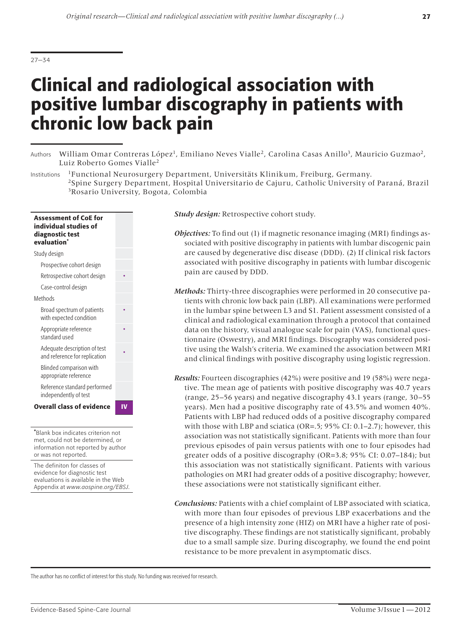# Clinical and radiological association with positive lumbar discography in patients with chronic low back pain

| Authors William Omar Contreras López <sup>1</sup> , Emiliano Neves Vialle <sup>2</sup> , Carolina Casas Anillo <sup>3</sup> , Mauricio Guzmao <sup>2</sup> , |
|--------------------------------------------------------------------------------------------------------------------------------------------------------------|
| Luiz Roberto Gomes Vialle <sup>2</sup>                                                                                                                       |

Institutions<sup>1</sup>Functional Neurosurgery Department, Universitäts Klinikum, Freiburg, Germany. <sup>2</sup>Spine Surgery Department, Hospital Universitario de Cajuru, Catholic University of Paraná, Brazil <sup>3</sup>Rosario University, Bogota, Colombia



\*Blank box indicates criterion not met, could not be determined, or information not reported by author or was not reported.

The definiton for classes of evidence for diagnostic test evaluations is available in the Web Appendix at *www.aospine.org/EBSJ*. *Study design:* Retrospective cohort study.

*Objectives:* To find out (1) if magnetic resonance imaging (MRI) findings associated with positive discography in patients with lumbar discogenic pain are caused by degenerative disc disease (DDD). (2) If clinical risk factors associated with positive discography in patients with lumbar discogenic pain are caused by DDD.

*Methods:* Thirty-three discographies were performed in 20 consecutive patients with chronic low back pain (LBP). All examinations were performed in the lumbar spine between L3 and S1. Patient assessment consisted of a clinical and radiological examination through a protocol that contained data on the history, visual analogue scale for pain (VAS), functional questionnaire (Oswestry), and MRI findings. Discography was considered positive using the Walsh's criteria. We examined the association between MRI and clinical findings with positive discography using logistic regression.

*Results:* Fourteen discographies (42%) were positive and 19 (58%) were negative. The mean age of patients with positive discography was 40.7 years (range, 25–56 years) and negative discography 43.1 years (range, 30–55 years). Men had a positive discography rate of 43.5% and women 40%. Patients with LBP had reduced odds of a positive discography compared with those with LBP and sciatica (OR=.5; 95% CI: 0.1–2.7); however, this association was not statistically significant. Patients with more than four previous episodes of pain versus patients with one to four episodes had greater odds of a positive discography (OR=3.8; 95% CI: 0.07–184); but this association was not statistically significant. Patients with various pathologies on MRI had greater odds of a positive discography; however, these associations were not statistically significant either.

*Conclusions:* Patients with a chief complaint of LBP associated with sciatica, with more than four episodes of previous LBP exacerbations and the presence of a high intensity zone (HIZ) on MRI have a higher rate of positive discography. These findings are not statistically significant, probably due to a small sample size. During discography, we found the end point resistance to be more prevalent in asymptomatic discs.

The author has no conflict of interest for this study. No funding was received for research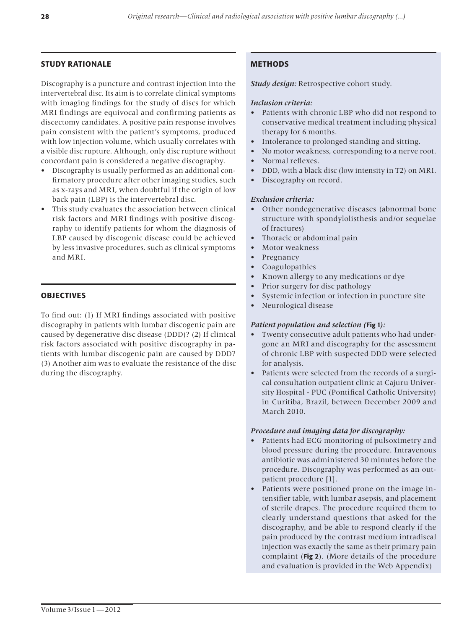## STUDY RATIONALE

Discography is a puncture and contrast injection into the intervertebral disc. Its aim is to correlate clinical symptoms with imaging findings for the study of discs for which MRI findings are equivocal and confirming patients as discectomy candidates. A positive pain response involves pain consistent with the patient's symptoms, produced with low injection volume, which usually correlates with a visible disc rupture. Although, only disc rupture without concordant pain is considered a negative discography.

- • Discography is usually performed as an additional confirmatory procedure after other imaging studies, such as x-rays and MRI, when doubtful if the origin of low back pain (LBP) is the intervertebral disc.
- • This study evaluates the association between clinical risk factors and MRI findings with positive discography to identify patients for whom the diagnosis of LBP caused by discogenic disease could be achieved by less invasive procedures, such as clinical symptoms and MRI.

## **OBJECTIVES**

To find out: (1) If MRI findings associated with positive discography in patients with lumbar discogenic pain are caused by degenerative disc disease (DDD)? (2) If clinical risk factors associated with positive discography in patients with lumbar discogenic pain are caused by DDD? (3) Another aim was to evaluate the resistance of the disc during the discography.

## METHODS

*Study design:* Retrospective cohort study.

## *Inclusion criteria:*

- • Patients with chronic LBP who did not respond to conservative medical treatment including physical therapy for 6 months.
- Intolerance to prolonged standing and sitting.
- No motor weakness, corresponding to a nerve root.
- • Normal reflexes.
- • DDD, with a black disc (low intensity in T2) on MRI.
- Discography on record.

## *Exclusion criteria:*

- • Other nondegenerative diseases (abnormal bone structure with spondylolisthesis and/or sequelae of fractures)
- Thoracic or abdominal pain
- Motor weakness
- Pregnancy
- • Coagulopathies
- • Known allergy to any medications or dye
- Prior surgery for disc pathology
- Systemic infection or infection in puncture site
- • Neurological disease

## *Patient population and selection (*Fig 1*):*

- Twenty consecutive adult patients who had undergone an MRI and discography for the assessment of chronic LBP with suspected DDD were selected for analysis.
- Patients were selected from the records of a surgical consultation outpatient clinic at Cajuru University Hospital - PUC (Pontifical Catholic University) in Curitiba, Brazil, between December 2009 and March 2010.

## *Procedure and imaging data for discography:*

- • Patients had ECG monitoring of pulsoximetry and blood pressure during the procedure. Intravenous antibiotic was administered 30 minutes before the procedure. Discography was performed as an outpatient procedure [1].
- • Patients were positioned prone on the image intensifier table, with lumbar asepsis, and placement of sterile drapes. The procedure required them to clearly understand questions that asked for the discography, and be able to respond clearly if the pain produced by the contrast medium intradiscal injection was exactly the same as their primary pain complaint (Fig 2). (More details of the procedure and evaluation is provided in the Web Appendix)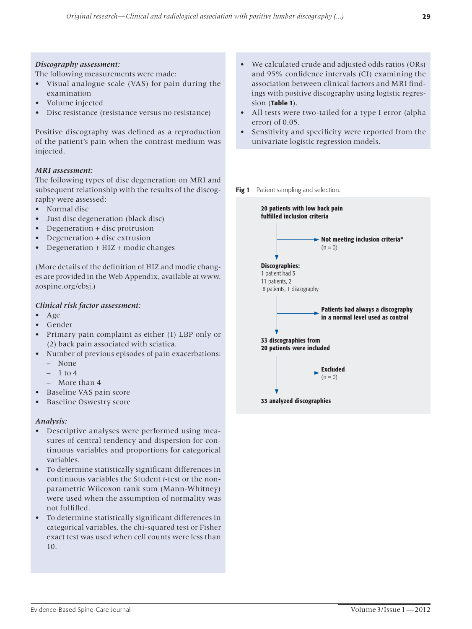## *Discography assessment:*

The following measurements were made:

- • Visual analogue scale (VAS) for pain during the examination
- • Volume injected
- • Disc resistance (resistance versus no resistance)

Positive discography was defined as a reproduction of the patient's pain when the contrast medium was injected.

## *MRI assessment:*

The following types of disc degeneration on MRI and subsequent relationship with the results of the discography were assessed:

- • Normal disc
- • Just disc degeneration (black disc)
- Degeneration + disc protrusion
- Degeneration + disc extrusion
- Degeneration  $+ HIZ +$  modic changes

(More details of the definition of HIZ and modic changes are provided in the Web Appendix, available at www. aospine.org/ebsj.)

#### *Clinical risk factor assessment:*

- • Age
- • Gender
- • Primary pain complaint as either (1) LBP only or (2) back pain associated with sciatica.
- • Number of previous episodes of pain exacerbations: – None
	- $-1$  to 4
	- More than 4
- Baseline VAS pain score
- Baseline Oswestry score

#### *Analysis:*

- • Descriptive analyses were performed using measures of central tendency and dispersion for continuous variables and proportions for categorical variables.
- • To determine statistically significant differences in continuous variables the Student *t*-test or the nonparametric Wilcoxon rank sum (Mann-Whitney) were used when the assumption of normality was not fulfilled.
- • To determine statistically significant differences in categorical variables, the chi-squared test or Fisher exact test was used when cell counts were less than 10.
- We calculated crude and adjusted odds ratios (ORs) and 95% confidence intervals (CI) examining the association between clinical factors and MRI findings with positive discography using logistic regression (Table 1).
- All tests were two-tailed for a type I error (alpha error) of 0.05.
- Sensitivity and specificity were reported from the univariate logistic regression models.

#### Fig 1 Patient sampling and selection.

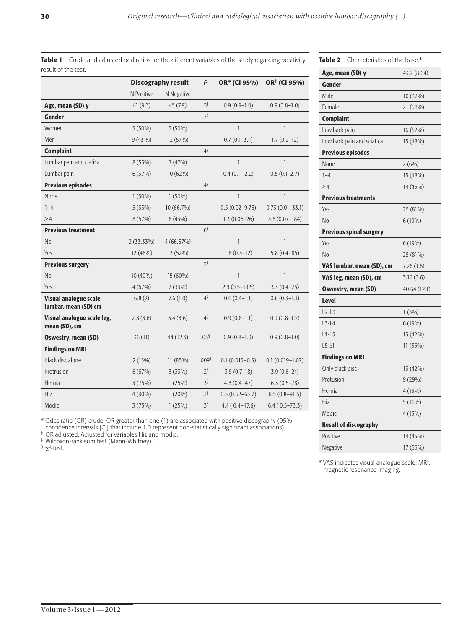Table 1 Crude and adjusted odd ratios for the different variables of the study regarding positivity result of the test.

|                                                      |              | <b>Discography result</b> | P                 | OR* (CI 95%)       | OR <sup>†</sup> (CI 95%) |
|------------------------------------------------------|--------------|---------------------------|-------------------|--------------------|--------------------------|
|                                                      | N Positive   | N Negative                |                   |                    |                          |
| Age, mean (SD) y                                     | 41 $(9.3)$   | 45 (7.9)                  | $.3^{\ddagger}$   | $0.9(0.9-1.0)$     | $0.9(0.8-1.0)$           |
| <b>Gender</b>                                        |              |                           | .7 <sup>§</sup>   |                    |                          |
| Women                                                | $5(50\%)$    | $5(50\%)$                 |                   | $\mathbf{1}$       | $\overline{1}$           |
| Men                                                  | $9(43\%)$    | 12 (57%)                  |                   | $0.7(0.1-3.4)$     | $1.7(0.2-12)$            |
| <b>Complaint</b>                                     |              |                           | .4 <sup>§</sup>   |                    |                          |
| Lumbar pain and ciatica                              | 8 (53%)      | 7 (47%)                   |                   | $\mathbf{1}$       | 1                        |
| Lumbar pain                                          | 6(37%)       | 10 (62%)                  |                   | $0.4(0.1 - 2.2)$   | $0.5(0.1-2.7)$           |
| <b>Previous episodes</b>                             |              |                           | $.4^{\S}$         |                    |                          |
| None                                                 | $1(50\%)$    | $1(50\%)$                 |                   | $\mathbf{1}$       | 1                        |
| $1 - 4$                                              | $5(33\%)$    | 10 (66.7%)                |                   | $0.5(0.02 - 9.76)$ | $0.73(0.01 - 33.1)$      |
| >4                                                   | 8 (57%)      | $6(43\%)$                 |                   | $1.3(0.06-26)$     | $3.8(0.07 - 184)$        |
| <b>Previous treatment</b>                            |              |                           | .6 <sup>§</sup>   |                    |                          |
| No                                                   | $2(33,33\%)$ | 4 (66,67%)                |                   | $\mathbf{1}$       | 1                        |
| Yes                                                  | 12 (48%)     | 13 (52%)                  |                   | $1.8(0.3-12)$      | $5.8(0.4-85)$            |
| <b>Previous surgery</b>                              |              |                           | .3 <sup>§</sup>   |                    |                          |
| N <sub>o</sub>                                       | 10 (40%)     | 15 (60%)                  |                   | $\overline{1}$     | 1                        |
| Yes                                                  | 4(67%)       | $2(33\%)$                 |                   | $2.9(0.5-19.5)$    | $3.3(0.4-25)$            |
| <b>Visual analogue scale</b><br>lumbar, mean (SD) cm | 6.8(2)       | 7.6(1.0)                  | .4 <sup>§</sup>   | $0.6(0.4-1.1)$     | $0.6(0.3-1.1)$           |
| Visual analogue scale leg,<br>mean (SD), cm          | 2.8(3.6)     | 3.4(3.6)                  | .4 <sup>§</sup>   | $0.9(0.8-1.1)$     | $0.9(0.8-1.2)$           |
| Oswestry, mean (SD)                                  | 36(11)       | 44 (12.3)                 | .05 <sup>§</sup>  | $0.9(0.8-1.0)$     | $0.9(0.8-1.0)$           |
| <b>Findings on MRI</b>                               |              |                           |                   |                    |                          |
| <b>Black disc alone</b>                              | $2(15\%)$    | 11(85%)                   | .009 <sup>§</sup> | $0.1(0.015 - 0.5)$ | $0.1(0.019 - 1.07)$      |
| Protrusion                                           | 6(67%)       | 3 (33%)                   | $.2^{\S}$         | $3.5(0.7-18)$      | $3.9(0.6-24)$            |
| Hernia                                               | 3 (75%)      | 1(25%)                    | .3 <sup>§</sup>   | $4.3(0.4-47)$      | $6.3(0.5-78)$            |
| Hiz                                                  | 4(80%)       | $1(20\%)$                 | .1 <sup>§</sup>   | $6.5(0.62 - 65.7)$ | $8.5(0.8-91.5)$          |
| Modic                                                | 3 (75%)      | 1(25%)                    | .3 <sup>§</sup>   | $4.4(0.4-47.6)$    | $6.4(0.5-73.3)$          |

\* Odds ratio (OR) crude. OR greater than one (1) are associated with positive discography (95% conidence intervals [CI] that include 1.0 represent non-statistically signiicant associations).

† OR adjusted. Adjusted for variables Hiz and modic.<br>‡ Wilcoxon-rank sum test (Mann-Whitney).<br>§ χ<sup>2</sup>-test.

| Age, mean (SD) y               | 43.2 (8.64)  |
|--------------------------------|--------------|
| Gender                         |              |
| Male                           | 10 (32%)     |
| Female                         | 21 (68%)     |
| <b>Complaint</b>               |              |
| Low back pain                  | 16 (52%)     |
| Low back pain and sciatica     | 15 (48%)     |
| <b>Previous episodes</b>       |              |
| None                           | 2(6%)        |
| $1 - 4$                        | 15 (48%)     |
| >4                             | 14 (45%)     |
| <b>Previous treatments</b>     |              |
| Yes                            | 25 (81%)     |
| No                             | 6(19%)       |
| <b>Previous spinal surgery</b> |              |
| Yes                            | 6(19%)       |
| N <sub>o</sub>                 | 25 (81%)     |
| VAS lumbar, mean (SD), cm      | 7.26(1.6)    |
| VAS leg, mean (SD), cm         | 3.16(3.6)    |
| <b>Oswestry, mean (SD)</b>     | 40.64 (12.1) |
| <b>Level</b>                   |              |
| $L2-L3$                        | 1(3%)        |
| $L3-L4$                        | 6(19%)       |
| $L4-L5$                        | 13 (42%)     |
| $L5-S1$                        | 11 (35%)     |
| <b>Findings on MRI</b>         |              |
| Only black disc                | 13 (42%)     |
| Protusion                      | 9(29%)       |
| Hernia                         | $4(13\%)$    |
| Hiz                            | 5(16%)       |
| Modic                          | 4 (13%)      |
| <b>Result of discography</b>   |              |
| Positive                       | 14 (45%)     |
| Negative                       | 17 (55%)     |

\* VAS indicates visual analogue scale; MRI, magnetic resonance imaging.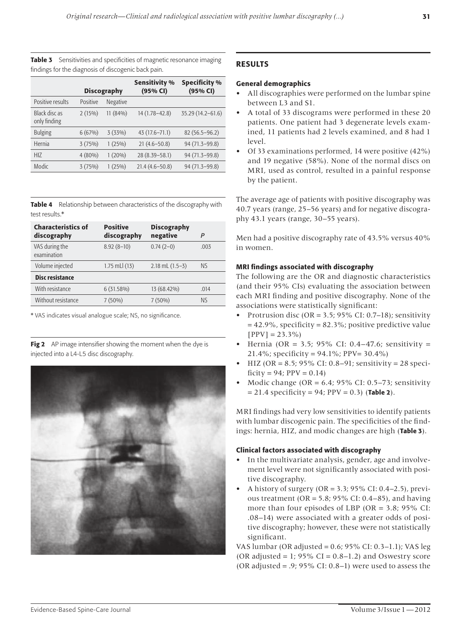Table 3 Sensitivities and specificities of magnetic resonance imaging findings for the diagnosis of discogenic back pain.

|                               | <b>Discography</b> |           | <b>Sensitivity %</b><br>(95% CI) | <b>Specificity %</b><br>(95% CI) |
|-------------------------------|--------------------|-----------|----------------------------------|----------------------------------|
| Positive results              | Positive           | Negative  |                                  |                                  |
| Black disc as<br>only finding | $2(15\%)$          | 11(84%)   | $14(1.78-42.8)$                  | 35.29 (14.2-61.6)                |
| <b>Bulging</b>                | 6(67%)             | 3 (33%)   | $43(17.6 - 71.1)$                | $82(56.5 - 96.2)$                |
| Hernia                        | 3(75%)             | 1(25%)    | $21(4.6 - 50.8)$                 | 94 (71.3-99.8)                   |
| <b>HIZ</b>                    | 4(80%)             | $1(20\%)$ | 28 (8.39-58.1)                   | 94 (71.3-99.8)                   |
| <b>Modic</b>                  | 3 (75%)            | (25%)     | $21.4(4.6 - 50.8)$               | 94 (71.3-99.8)                   |

Table 4 Relationship between characteristics of the discography with test results.\*

| <b>Characteristics of</b>     | <b>Positive</b>   | <b>Discography</b>  |                |
|-------------------------------|-------------------|---------------------|----------------|
| discography                   | discography       | negative            | P              |
| VAS during the<br>examination | $8.92(8-10)$      | $0.74(2-0)$         | .003           |
| Volume injected               | $1.75$ mLl $(13)$ | $2.18$ mL $(1.5-3)$ | N <sub>S</sub> |
| <b>Disc resistance</b>        |                   |                     |                |
| With resistance               | 6(31.58%)         | 13 (68.42%)         | .014           |
| Without resistance            | $7(50\%)$         | $7(50\%)$           | N <sub>S</sub> |
|                               |                   |                     |                |

\* VAS indicates visual analogue scale; NS, no significance.

Fig 2 AP image intensifier showing the moment when the dye is injected into a L4-L5 disc discography.



# RESULTS

## General demographics

- All discographies were performed on the lumbar spine between L3 and S1.
- • A total of 33 discograms were performed in these 20 patients. One patient had 3 degenerate levels examined, 11 patients had 2 levels examined, and 8 had 1 level.
- Of 33 examinations performed, 14 were positive  $(42\%)$ and 19 negative (58%). None of the normal discs on MRI, used as control, resulted in a painful response by the patient.

The average age of patients with positive discography was 40.7 years (range, 25–56 years) and for negative discography 43.1 years (range, 30–55 years).

Men had a positive discography rate of 43.5% versus 40% in women.

## MRI findings associated with discography

The following are the OR and diagnostic characteristics (and their 95% CIs) evaluating the association between each MRI finding and positive discography. None of the associations were statistically significant:

- Protrusion disc (OR = 3.5; 95% CI: 0.7–18); sensitivity  $= 42.9\%$ , specificity = 82.3%; positive predictive value  $[PPV] = 23.3\%$
- Hernia (OR = 3.5; 95% CI: 0.4–47.6; sensitivity = 21.4%; specificity = 94.1%; PPV= 30.4%)
- HIZ (OR = 8.5; 95% CI: 0.8–91; sensitivity = 28 specificity =  $94$ ; PPV =  $0.14$ )
- Modic change (OR =  $6.4$ ; 95% CI: 0.5–73; sensitivity  $= 21.4$  specificity  $= 94$ ; PPV  $= 0.3$ ) (Table 2).

MRI findings had very low sensitivities to identify patients with lumbar discogenic pain. The specificities of the findings: hernia, HIZ, and modic changes are high (Table 3).

## Clinical factors associated with discography

- In the multivariate analysis, gender, age and involvement level were not significantly associated with positive discography.
- A history of surgery (OR = 3.3; 95% CI: 0.4–2.5), previous treatment ( $OR = 5.8$ ; 95% CI: 0.4–85), and having more than four episodes of LBP ( $OR = 3.8$ ; 95% CI: .08–14) were associated with a greater odds of positive discography; however, these were not statistically significant.

VAS lumbar (OR adjusted = 0.6; 95% CI: 0.3–1.1); VAS leg (OR adjusted = 1;  $95\%$  CI = 0.8–1.2) and Oswestry score (OR adjusted = .9;  $95\%$  CI: 0.8–1) were used to assess the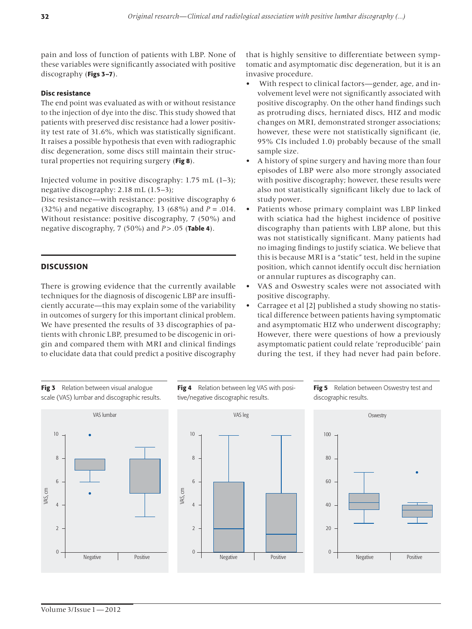pain and loss of function of patients with LBP. None of these variables were significantly associated with positive discography (Figs 3-7).

## Disc resistance

The end point was evaluated as with or without resistance to the injection of dye into the disc. This study showed that patients with preserved disc resistance had a lower positivity test rate of 31.6%, which was statistically significant. It raises a possible hypothesis that even with radiographic disc degeneration, some discs still maintain their structural properties not requiring surgery (Fig 8).

Injected volume in positive discography: 1.75 mL (1–3); negative discography: 2.18 mL (1.5–3);

Disc resistance—with resistance: positive discography 6 (32%) and negative discography, 13 (68%) and *P* = .014. Without resistance: positive discography, 7 (50%) and negative discography, 7 (50%) and *P* > .05 (Table 4).

## **DISCUSSION**

There is growing evidence that the currently available techniques for the diagnosis of discogenic LBP are insufficiently accurate—this may explain some of the variability in outcomes of surgery for this important clinical problem. We have presented the results of 33 discographies of patients with chronic LBP, presumed to be discogenic in origin and compared them with MRI and clinical findings to elucidate data that could predict a positive discography that is highly sensitive to differentiate between symptomatic and asymptomatic disc degeneration, but it is an invasive procedure.

- With respect to clinical factors-gender, age, and involvement level were not significantly associated with positive discography. On the other hand findings such as protruding discs, herniated discs, HIZ and modic changes on MRI, demonstrated stronger associations; however, these were not statistically significant (ie, 95% CIs included 1.0) probably because of the small sample size.
- • A history of spine surgery and having more than four episodes of LBP were also more strongly associated with positive discography; however, these results were also not statistically significant likely due to lack of study power.
- • Patients whose primary complaint was LBP linked with sciatica had the highest incidence of positive discography than patients with LBP alone, but this was not statistically significant. Many patients had no imaging findings to justify sciatica. We believe that this is because MRI is a "static" test, held in the supine position, which cannot identify occult disc herniation or annular ruptures as discography can.
- VAS and Oswestry scales were not associated with positive discography.
- Carragee et al [2] published a study showing no statistical difference between patients having symptomatic and asymptomatic HIZ who underwent discography; However, there were questions of how a previously asymptomatic patient could relate 'reproducible' pain during the test, if they had never had pain before.



Fig 3 Relation between visual analogue

Fig 4 Relation between leg VAS with positive/negative discographic results.

VAS leg

10

8

6

4

VAS, cm

2

0

Negative | Positive

Fig 5 Relation between Oswestry test and discographic results.

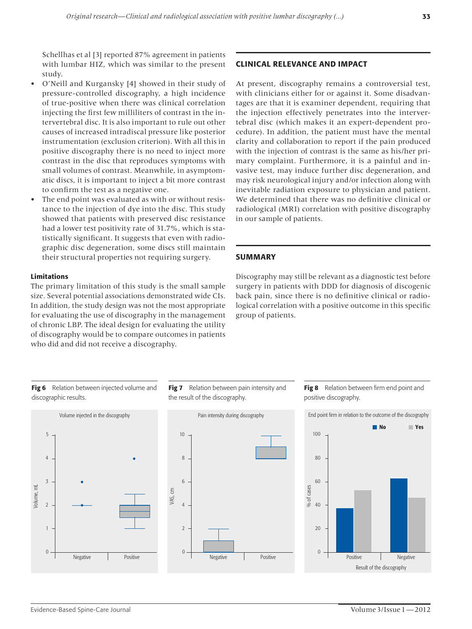Schellhas et al [3] reported 87% agreement in patients with lumbar HIZ, which was similar to the present study.

- O'Neill and Kurgansky [4] showed in their study of pressure-controlled discography, a high incidence of true-positive when there was clinical correlation injecting the first few milliliters of contrast in the intervertebral disc. It is also important to rule out other causes of increased intradiscal pressure like posterior instrumentation (exclusion criterion). With all this in positive discography there is no need to inject more contrast in the disc that reproduces symptoms with small volumes of contrast. Meanwhile, in asymptomatic discs, it is important to inject a bit more contrast to confirm the test as a negative one.
- The end point was evaluated as with or without resistance to the injection of dye into the disc. This study showed that patients with preserved disc resistance had a lower test positivity rate of 31.7%, which is statistically significant. It suggests that even with radiographic disc degeneration, some discs still maintain their structural properties not requiring surgery.

#### Limitations

The primary limitation of this study is the small sample size. Several potential associations demonstrated wide CIs. In addition, the study design was not the most appropriate for evaluating the use of discography in the management of chronic LBP. The ideal design for evaluating the utility of discography would be to compare outcomes in patients who did and did not receive a discography.

## CLINICAL RELEVANCE AND IMPACT

At present, discography remains a controversial test, with clinicians either for or against it. Some disadvantages are that it is examiner dependent, requiring that the injection effectively penetrates into the intervertebral disc (which makes it an expert-dependent procedure). In addition, the patient must have the mental clarity and collaboration to report if the pain produced with the injection of contrast is the same as his/her primary complaint. Furthermore, it is a painful and invasive test, may induce further disc degeneration, and may risk neurological injury and/or infection along with inevitable radiation exposure to physician and patient. We determined that there was no definitive clinical or radiological (MRI) correlation with positive discography in our sample of patients.

## SUMMARY

Discography may still be relevant as a diagnostic test before surgery in patients with DDD for diagnosis of discogenic back pain, since there is no definitive clinical or radiological correlation with a positive outcome in this specific group of patients.

Fig 6 Relation between injected volume and discographic results.



Fig 7 Relation between pain intensity and the result of the discography.



Fig 8 Relation between firm end point and positive discography.